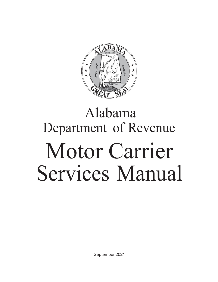

# Alabama Department of Revenue Motor Carrier Services Manual

September 2021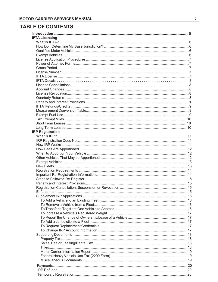# TABLE OF CONTENTS

| <b>IFTA Licensing</b>   |                |
|-------------------------|----------------|
|                         | 6              |
|                         |                |
|                         | $6^{\circ}$    |
|                         |                |
|                         |                |
|                         | $\overline{7}$ |
|                         | $\overline{7}$ |
|                         |                |
|                         | 8              |
|                         | 8              |
|                         |                |
|                         |                |
|                         |                |
|                         |                |
|                         |                |
|                         |                |
|                         |                |
|                         |                |
|                         |                |
| <b>IRP Registration</b> |                |
|                         |                |
|                         |                |
|                         |                |
|                         |                |
|                         |                |
|                         |                |
|                         |                |
|                         |                |
|                         |                |
|                         |                |
|                         |                |
|                         |                |
|                         |                |
|                         |                |
|                         |                |
|                         |                |
|                         |                |
|                         |                |
|                         |                |
|                         |                |
|                         |                |
|                         |                |
|                         |                |
|                         |                |
|                         |                |
|                         |                |
|                         |                |
|                         |                |
|                         |                |
|                         |                |
|                         |                |
|                         |                |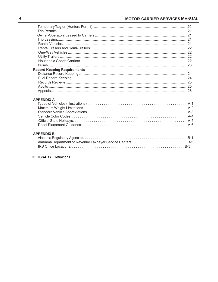| <b>Record Keeping Requirements</b> |       |
|------------------------------------|-------|
|                                    |       |
|                                    |       |
|                                    |       |
|                                    |       |
|                                    |       |
|                                    |       |
| <b>APPENDIX A</b>                  |       |
|                                    | $A-1$ |
|                                    | $A-2$ |
|                                    | $A-3$ |
|                                    | $A-4$ |
|                                    | $A-5$ |
|                                    | $A-6$ |

# **APPENDIX B**

|--|--|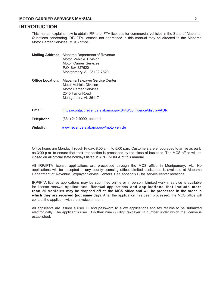# <span id="page-4-0"></span>**INTRODUCTION**

This manual explains how to obtain IRP and IFTA licenses for commercial vehicles in the State of Alabama. Questions concerning IRP/IFTA licenses not addressed in this manual may be directed to the Alabama Motor Carrier Services (MCS) office.

| <b>Mailing Address: Alabama Department of Revenue</b><br>Motor Vehicle Division<br><b>Motor Carrier Services</b><br>P.O. Box 327620<br>Montgomery, AL 36132-7620 |
|------------------------------------------------------------------------------------------------------------------------------------------------------------------|
| <b>Office Location:</b> Alabama Taxpayer Service Center<br>Motor Vehicle Division<br><b>Motor Carrier Services</b><br>2545 Taylor Road<br>Montgomery, AL 36117   |

- **Email:** <https://contact.revenue.alabama.gov:8443/confluence/display/ADR>
- **Telephone:** (334) 242-9000, option 4

**Website:** [www.revenue.alabama.gov/motorvehicle](http://www.revenue.alabama.gov/motorvehicle)

Office hours are Monday through Friday, 8:00 a.m. to 5:00 p.m. Customers are encouraged to arrive as early as 3:00 p.m. to ensure that their transaction is processed by the close of business. The MCS office will be closed on all official state holidays listed in APPENDIX A of this manual.

All IRP/IFTA license applications are processed through the MCS office in Montgomery, AL. No applications will be accepted in any county licensing office. Limited assistance is available at Alabama Department of Revenue Taxpayer Service Centers. See appendix B for service center locations.

IRP/IFTA license applications may be submitted online or in person. Limited walk-in service is available for license renewal applications. **Renewal applications and applications that include more than 20 vehicles may be dropped off at the MCS office and will be processed in the order in which they are received (not same day)**. After the application has been processed, the MCS office will contact the applicant with the invoice amount.

All applicants are issued a user ID and password to allow applications and tax returns to be submitted electronically. The applicant's user ID is their nine (9) digit taxpayer ID number under which the license is established.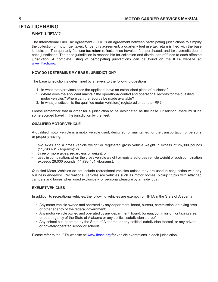# <span id="page-5-1"></span><span id="page-5-0"></span>**IFTA LICENSING**

# **WHAT IS "IFTA"?**

The International Fuel Tax Agreement (IFTA) is an agreement between participating jurisdictions to simplify the collection of motor fuel taxes. Under this agreement, a quarterly fuel use tax return is filed with the base jurisdiction. The quarterly fuel use tax return reflects miles traveled, fuel purchased, and taxes/credits due in each jurisdiction. The base jurisdiction is responsible for collection and distribution of funds to each affected jurisdiction. A complete listing of participating jurisdictions can be found on the IFTA website at: [www.iftach.org.](http://www.iftach.org/)

# <span id="page-5-2"></span>**HOW DO I DETERMINE MY BASE JURISDICTION?**

The base jurisdiction is determined by answers to the following questions:

- 1. In what state/province does the applicant have an established place of business?
- 2. Where does the applicant maintain the operational control and operational records for the qualified motor vehicles? Where can the records be made available?
- 3. In what jurisdiction is the qualified motor vehicle(s) registered under the IRP?

Please remember that in order for a jurisdiction to be designated as the base jurisdiction, there must be some accrued travel in the jurisdiction by the fleet.

# <span id="page-5-3"></span>**QUALIFIED MOTOR VEHICLE**

A qualified motor vehicle is a motor vehicle used, designed, or maintained for the transportation of persons or property having:

- two axles and a gross vehicle weight or registered gross vehicle weight in excess of 26,000 pounds (11,793.401 kilograms); or
- three or more axles, regardless of weight; or
- used in combination, when the gross vehicle weight or registered gross vehicle weight of such combination exceeds 26,000 pounds (11,793.401 kilograms).

Qualified Motor Vehicles do not include recreational vehicles unless they are used in conjunction with any business endeavor. Recreational vehicles are vehicles such as motor homes, pickup trucks with attached campers and buses when used exclusively for personal pleasure by an individual.

# <span id="page-5-4"></span>**EXEMPT VEHICLES**

In addition to recreational vehicles, the following vehicles are exempt from IFTA in the State of Alabama:

- Any motor vehicle owned and operated by any department, board, bureau, commission, or taxing area or other agency of the federal government;
- Any motor vehicle owned and operated by any department, board, bureau, commission, or taxing area or other agency of the State of Alabama or any political subdivision thereof;
- Any school bus operated by the State of Alabama, or any political subdivision thereof, or any private or privately operated school or schools.

Please refer to the IFTA website at: [www.iftach.org](http://www.iftach.org/) for vehicle exemptions in each jurisdiction.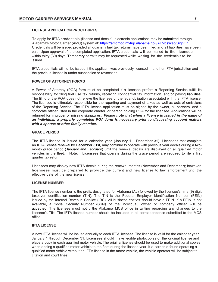#### <span id="page-6-0"></span>**LICENSE APPLICATION PROCEDURES**

To apply for IFTA credentials (license and decals), electronic applications may be submitted through Alabama's Motor Carrier (AMC) system at: https://amcmod.mvtrip.alabama.gov/ALMcsWeb/SignOn. Credentials will be issued provided all quarterly fuel tax returns have been filed and all liabilities have been paid. Upon approval of the completed application, IFTA credentials will be mailed to the licensee within thirty (30) days. Temporary permits may be requested while waiting for the credentials to be issued.

IFTA credentials will not be issued if the applicant was previously licensed in another IFTA jurisdiction and the previous license is under suspension or revocation.

## <span id="page-6-1"></span>**POWER OF ATTORNEY FORMS**

A Power of Attorney (POA) form must be completed if a licensee prefers a Reporting Service fulfill its responsibility for filing fuel use tax returns, receiving confidential tax information, and/or paying liabilities. The filing of the POA does not relieve the licensee of the legal obligation associated with the IFTA license. The licensee is ultimately responsible for the reporting and payment of taxes as well as acts of omissions of the Reporting Service. The IFTA license application must be signed by the owner, all partners, and a corporate officer listed in the corporate charter, or person holding POA for the licensee. Applications will be returned for improper or missing signatures. *Please note that when a license is issued in the name of an individual, a properly completed POA form is necessary prior to discussing account matters with a spouse or other family member.*

#### <span id="page-6-2"></span>**GRACE PERIOD**

The IFTA license is issued for a calendar year (January 1 – December 31). Licensees that complete an IFTA license renewal by December 31st, may continue to operate with previous year decals during a twomonth grace period (January and February) until the renewal decals are displayed on all qualified motor vehicles in the fleet. Note: Licensees that operate during the grace period are required to file a first quarter tax return.

Licensees may display new IFTA decals during the renewal months (November and December); however, licensees must be prepared to provide the current and new license to law enforcement until the effective date of the new license.

#### <span id="page-6-3"></span>**LICENSE NUMBER**

The IFTA license number is the prefix designated for Alabama (AL) followed by the licensee's nine (9) digit taxpayer identification number (TIN). The TIN is the Federal Employer Identification Number (FEIN) issued by the Internal Revenue Service (IRS). All business entities should have a FEIN. If a FEIN is not available, a Social Security Number (SSN) of the individual, owner or company officer will be accepted. The licensee must notify the Alabama MCS office in writing regarding any changes to the licensee's TIN. The IFTA license number should be included in all correspondence submitted to the MCS office.

## <span id="page-6-4"></span>**IFTA LICENSE**

A new IFTA license will be issued annually to each IFTA licensee. The license is valid for the calendar year January 1 through December 31. Licensees should make legible photocopies of the original license and place a copy in each qualified motor vehicle. The original license should be used to make additional copies when adding a qualified motor vehicle to the fleet during the license year. If a carrier is found operating a qualified motor vehicle without an IFTA license in the motor vehicle, the vehicle operator will be subject to citation and court fines.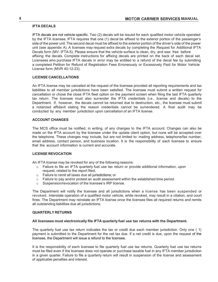#### <span id="page-7-0"></span>**IFTA DECALS**

IFTA decals are not vehicle specific. Two (2) decals will be issued for each qualified motor vehicle operated by the IFTA licensee. IFTA requires that one (1) decal be affixed to the exterior portion of the passenger's side of the power unit. The second decal must be affixed to the exterior portion of the driver's side of the power unit (see appendix A). A licensee may request extra decals by completing the Request for Additional IFTA Decals form (MV: IFTA-5). Please ensure that the vehicle surface is clean, dry, and wax free before affixing the decals. Complete instructions for affixing decals are printed on the back of each decal set. Licensees who purchase IFTA decals in error may be entitled to a refund of the decal fee by submitting a completed Petition for Refund of Registration Fees Erroneously or Excessively Paid for Motor Vehicle License form (MVR 40-12-23).

#### <span id="page-7-1"></span>**LICENSE CANCELLATIONS**

An IFTA license may be canceled at the request of the licensee provided all reporting requirements and tax liabilities to all member jurisdictions have been satisfied. The licensee must submit a written request for cancellation or chose the close IFTA fleet option on the payment screen when filing the last IFTA quarterly tax return. The licensee must also surrender the IFTA credentials (i.e., license and decals) to the Department. If, however, the decals cannot be returned due to destruction, etc., the licensee must submit a notarized affidavit stating the reason credentials cannot be surrendered. A final audit may be conducted by any member jurisdiction upon cancellation of an IFTA license.

#### <span id="page-7-2"></span>**ACCOUNT CHANGES**

The MCS office must be notified, in writing, of any changes to the IFTA account. Changes can also be made on the IFTA account by the licensee under the update client option, but none will be accepted over the telephone. These changes may include, but are not limited to: mailing address, telephone/fax number, email address, contact person, and business location. It is the responsibility of each licensee to ensure that the account information is current and accurate.

#### <span id="page-7-3"></span>**LICENSE REVOCATION**

An IFTA license may be revoked for any of the following reasons:

- o Failure to file an IFTA quarterly fuel use tax return or provide additional information, upon request, related to the report filed;
- o Failure to remit all taxes due all jurisdictions; or
- $\circ$  Failure to pay and/or protest an audit assessment within the established time period.
- o Suspension/revocation of the licensee's IRP license.

The Department will notify the licensee and all jurisdictions when a license has been suspended or revoked. Interstate operation of a qualified motor vehicle, while revoked, may result in a citation, and court fines. The Department may reinstate an IFTA license once the licensee files all required returns and remits all outstanding liabilities due all jurisdictions.

#### <span id="page-7-4"></span>**QUARTERLY RETURNS**

#### **All licensees must electronically file IFTA quarterly fuel use tax returns with the Department.**

The quarterly fuel use tax return indicates the tax or credit due each member jurisdiction. Only one ( 1) payment is submitted to the Department for the net tax due. If a net credit is due, upon the request of the licensee, the Department will issue a refund to the licensee.

It is the responsibility of each licensee to file quarterly fuel use tax returns. Quarterly fuel use tax returns must be filed even if the licensee does not operate or purchase taxable fuel in any IFTA member jurisdiction in a given quarter. Failure to file a quarterly return will result in suspension of the license and assessment of applicable penalties and interest.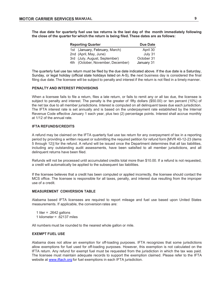**The due date for quarterly fuel use tax returns is the last day of the month immediately following the close of the quarter for which the return is being filed. These dates are as follows:**

| <b>Reporting Quarter</b> |                                   | <b>Due Date</b> |
|--------------------------|-----------------------------------|-----------------|
|                          | 1st (January, February, March)    | April 30        |
|                          | 2nd (April, May, June)            | July 31         |
|                          | 3rd (July, August, September)     | October 31      |
|                          | 4th (October, November, December) | January 31      |

The quarterly fuel use tax return must be filed by the due date indicated above. If the due date is a Saturday, Sunday, or legal holiday (official state holidays listed on A-5), the next business day is considered the final filing due date. The licensee will be subject to penalty and interest if the return is not filed in a timely manner.

#### <span id="page-8-0"></span>**PENALTY AND INTEREST PROVISIONS**

When a licensee fails to file a return, files a late return, or fails to remit any or all tax due, the licensee is subject to penalty and interest. The penalty is the greater of fifty dollars (\$50.00) or ten percent (10%) of the net tax due to all member jurisdictions. Interest is computed on all delinquent taxes due each jurisdiction. The IFTA interest rate is set annually and is based on the underpayment rate established by the Internal Revenue Code effective January 1 each year, plus two (2) percentage points. Interest shall accrue monthly at 1/12 of the annual rate.

#### <span id="page-8-1"></span>**IFTA REFUNDS/CREDITS**

A refund may be claimed on the IFTA quarterly fuel use tax return for any overpayment of tax in a reporting period by providing a written request or submitting the required petition for refund form [MVR 40-12-23 (items 5 through 12)] for the refund. A refund will be issued once the Department determines that all tax liabilities, including any outstanding audit assessments, have been satisfied to all member jurisdictions, and all delinquent returns have been filed.

Refunds will not be processed until accumulated credits total more than \$10.00. If a refund is not requested, a credit will automatically be applied to the subsequent tax liabilities.

If the licensee believes that a credit has been computed or applied incorrectly, the licensee should contact the MCS office. The licensee is responsible for all taxes, penalty, and interest due resulting from the improper use of a credit.

#### <span id="page-8-2"></span>**MEASUREMENT CONVERSION TABLE**

Alabama based IFTA licensees are required to report mileage and fuel use based upon United States measurements. If applicable, the conversion rates are:

- 1 liter =  $.2642$  gallons
- 1 kilometer = .62137 miles

All numbers must be rounded to the nearest whole gallon or mile.

#### <span id="page-8-3"></span>**EXEMPT FUEL USE**

Alabama does not allow an exemption for off-loading purposes. IFTA recognizes that some jurisdictions allow exemptions for fuel used for off-loading purposes. However, this exemption is not calculated on the IFTA return. Any refund for exempt fuel must be requested from the jurisdiction in which the tax was paid. The licensee must maintain adequate records to support the exemption claimed. Please refer to the IFTA website at [www.iftach.org](http://www.iftach.org/) for fuel exemptions in each IFTA jurisdiction.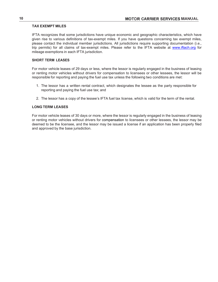#### <span id="page-9-0"></span>**TAX EXEMPT MILES**

IFTA recognizes that some jurisdictions have unique economic and geographic characteristics, which have given rise to various definitions of tax-exempt miles. If you have questions concerning tax exempt miles, please contact the individual member jurisdictions. All jurisdictions require supporting documentation (i.e., trip permits) for all claims of tax-exempt miles. Please refer to the IFTA website at [www.iftach.org](http://www.iftach.org/) for mileage exemptions in each IFTA jurisdiction.

## <span id="page-9-1"></span>**SHORT TERM LEASES**

For motor vehicle leases of 29 days or less, where the lessor is regularly engaged in the business of leasing or renting motor vehicles without drivers for compensation to licensees or other lessees, the lessor will be responsible for reporting and paying the fuel use tax unless the following two conditions are met:

- 1. The lessor has a written rental contract, which designates the lessee as the party responsible for reporting and paying the fuel use tax; and
- 2. The lessor has a copy of the lessee's IFTA fuel tax license, which is valid for the term of the rental.

#### <span id="page-9-2"></span>**LONG TERM LEASES**

For motor vehicle leases of 30 days or more, where the lessor is regularly engaged in the business of leasing or renting motor vehicles without drivers for compensation to licensees or other lessees, the lessor may be deemed to be the licensee, and the lessor may be issued a license if an application has been properly filed and approved by the base jurisdiction.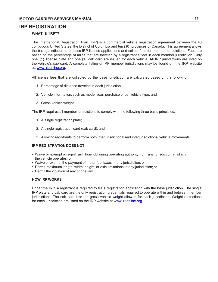# <span id="page-10-1"></span><span id="page-10-0"></span>**IRP REGISTRATION**

# **WHAT IS "IRP"?**

The International Registration Plan (IRP) is a commercial vehicle registration agreement between the 48 contiguous United States, the District of Columbia and ten (10) provinces of Canada. This agreement allows the base jurisdiction to process IRP license applications and collect fees for member jurisdictions. Fees are based on the percentage of miles that are traveled by a registrant's fleet in each member jurisdiction. Only one (1) license plate and one (1) cab card are issued for each vehicle. All IRP jurisdictions are listed on the vehicle's cab card. A complete listing of IRP member jurisdictions may be found on the IRP website at: [www.irponline.org.](http://www.irponline.org/)

All license fees that are collected by the base jurisdiction are calculated based on the following:

- 1. Percentage of distance traveled in each jurisdiction;
- 2. Vehicle information, such as model year, purchase price, vehicle type; and
- 3. Gross vehicle weight.

The IRP requires all member jurisdictions to comply with the following three basic principles:

- 1. A single registration plate;
- 2. A single registration card (cab card); and
- 3. Allowing registrants to perform both interjurisdictional and interjurisdictional vehicle movements.

# <span id="page-10-2"></span>**IRP REGISTRATION DOES NOT:**

- Waive or exempt a registrant from obtaining operating authority from any jurisdiction in which the vehicle operates; or
- Waive or exempt the payment of motor fuel taxes in any jurisdiction; or
- Permit maximum length, width, height, or axle limitations in any jurisdiction; or
- Permit the violation of any bridge law.

# <span id="page-10-3"></span>**HOW IRP WORKS**

Under the IRP, a registrant is required to file a registration application with the base jurisdiction. The single IRP plate and cab card are the only registration credentials required to operate within and between member jurisdictions. The cab card lists the gross vehicle weight allowed for each jurisdiction. Weight restrictions for each jurisdiction are listed on the IRP website at [www.irponline.org.](http://www.irponline.org/)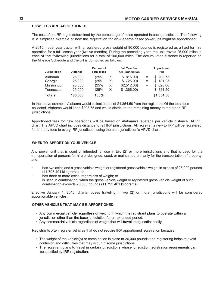## <span id="page-11-0"></span>**HOW FEES ARE APPORTIONED**

The cost of an IRP tag is determined by the percentage of miles operated in each jurisdiction. The following is a simplified example of how the registration for an Alabama-based power unit might be apportioned:

A 2015 model year tractor with a registered gross weight of 80,000 pounds is registered as a haul for hire operation for a full license year (twelve months). During the preceding year, the unit travels 25,000 miles in each of the following jurisdictions for a total of 100,000 miles. The accumulated distance is reported on the Mileage Schedule and the bill is computed as follows:

| <b>Jurisdiction</b> | <b>Distance</b> | <b>Percent of</b><br><b>Total Miles</b> |   | <b>Full Year Fee</b><br>per Jurisdiction |     | <b>Apportioned</b><br>Fee |
|---------------------|-----------------|-----------------------------------------|---|------------------------------------------|-----|---------------------------|
| Alabama             | 25,000          | (25%                                    | X | \$815.00)                                | $=$ | \$203.75                  |
| Georgia             | 25,000          | (25%                                    | X | \$725.00)                                | $=$ | 181.25<br>\$.             |
| Mississippi         | 25,000          | (25%                                    | Х | \$2,512.00                               | $=$ | \$628.00                  |
| <b>Tennessee</b>    | 25,000          | (25%                                    | X | \$1,366.00                               | $=$ | \$341.50                  |
| <b>Totals</b>       | 100,000         | 100%                                    |   |                                          |     | \$1,354.50                |

In the above example, Alabama would collect a total of \$1,354.50 from the registrant. Of the total fees collected, Alabama would keep \$203.75 and would distribute the remaining money to the other IRP jurisdictions.

Apportioned fees for new operations will be based on Alabama's average per vehicle distance (APVD) chart. The APVD chart includes distance for all IRP jurisdictions. All registrants new to IRP will be registered for and pay fees to every IRP jurisdiction using the base jurisdiction's APVD chart.

# <span id="page-11-1"></span>**WHEN TO APPORTION YOUR VEHICLE**

Any power unit that is used or intended for use in two (2) or more jurisdictions and that is used for the transportation of persons for hire or designed, used, or maintained primarily for the transportation of property, and:

- has two axles and a gross vehicle weight or registered gross vehicle weight in excess of 26,000 pounds (11,793.401 kilograms); or
- has three or more axles, regardless of weight; or
- is used in combination, when the gross vehicle weight or registered gross vehicle weight of such combination exceeds 26,000 pounds (11,793.401 kilograms).

Effective January 1, 2016, charter buses traveling in two (2) or more jurisdictions will be considered apportionable vehicles.

# <span id="page-11-2"></span>**OTHER VEHICLES THAT MAY BE APPORTIONED:**

- Any commercial vehicle regardless of weight, in which the registrant plans to operate within a jurisdiction other than the base jurisdiction for an extended period.
- Any commercial vehicle regardless of weight that will travel interjurisdictionally.

Registrants often register vehicles that do not require IRP apportioned registration because:

- The weight of the vehicle(s) or combination is close to 26,000 pounds and registering helps to avoid confusion and difficulties that may occur in some jurisdictions.
- The registrant plans to travel in certain jurisdictions whose jurisdiction registration requirements can be satisfied by IRP registration.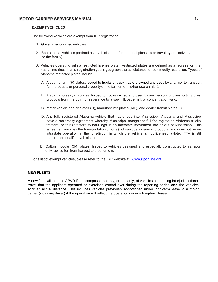#### <span id="page-12-0"></span>**EXEMPT VEHICLES**

The following vehicles are exempt from IRP registration:

- 1. Government-owned vehicles.
- 2. Recreational vehicles (defined as a vehicle used for personal pleasure or travel by an individual or the family).
- 3. Vehicles operating with a restricted license plate. Restricted plates are defined as a registration that has a time (less than a registration year), geographic area, distance, or commodity restriction. Types of Alabama restricted plates include:
	- A. Alabama farm (F) plates. Issued to trucks or truck-tractors owned and used by a farmer to transport farm products or personal property of the farmer for his/her use on his farm.
	- B. Alabama forestry (L) plates. Issued to trucks owned and used by any person for transporting forest products from the point of severance to a sawmill, papermill, or concentration yard.
	- C. Motor vehicle dealer plates (D), manufacturer plates (MF), and dealer transit plates (DT).
	- D. Any fully registered Alabama vehicle that hauls logs into Mississippi. Alabama and Mississippi have a reciprocity agreement whereby Mississippi recognizes full fee registered Alabama trucks, tractors, or truck-tractors to haul logs in an interstate movement into or out of Mississippi. This agreement involves the transportation of logs (not sawdust or similar products) and does not permit intrastate operation in the jurisdiction in which the vehicle is not licensed. (Note: IFTA is still required on qualified vehicles.)
	- E. Cotton module (CM) plates. Issued to vehicles designed and especially constructed to transport only raw cotton from harvest to a cotton gin.

For a list of exempt vehicles, please refer to the IRP website at: [www.irponline.org.](http://www.irponline.org/)

#### <span id="page-12-1"></span>**NEW FLEETS**

A new fleet will not use APVD if it is composed entirely, or primarily, of vehicles conducting interjurisdictional travel that the applicant operated or exercised control over during the reporting period **and** the vehicles accrued actual distance. This includes vehicles previously apportioned under long-term lease to a motor carrier (including driver) **if** the operation will reflect the operation under a long-term lease.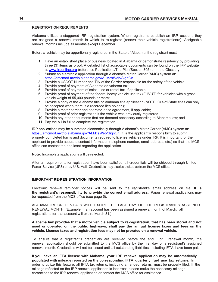#### <span id="page-13-0"></span>**REGISTRATION REQUIREMENTS**

Alabama utilizes a staggered IRP registration system. When registrants establish an IRP account, they are assigned a renewal month in which to re-register (renew) their vehicle registration(s). Assignable renewal months include all months except December.

Before a vehicle may be apportionally registered in the State of Alabama, the registrant must:

- 1. Have an established place of business located in Alabama or demonstrate residency by providing three (3) items as proof. A detailed list of acceptable documents can be found on the IRP website at [www.irponline.org](http://www.irponline.org/) (reference Publications/The Plan/Section 305) or in the Glossary;
- 2. Submit an electronic application through Alabama's Motor Carrier (AMC) system at: https://amcmod.mvtrip.alabama.gov/ALMcsWeb/SignOn
- 3. Provide a USDOT Number and TIN of the Carrier responsible for the safety of the vehicle;
- 4. Provide proof of payment of Alabama ad valorem tax;
- 5. Provide proof of payment of sales, use or rental tax, if applicable;
- 6. Provide proof of payment of the federal heavy vehicle use tax (FHVUT) for vehicles with a gross vehicle weight of 55,000 pounds or more;
- 7. Provide a copy of the Alabama title or Alabama title application (NOTE: Out-of-State titles can only be accepted when there is a recorded lien holder.);
- 8. Provide a motor carrier and operator lease agreement, if applicable;
- 9. Provide proof of prior registration if the vehicle was previously registered;
- 10. Provide any other documents that are deemed necessary according to Alabama law; and
- 11. Pay the bill in full to complete the registration.

IRP applications may be submitted electronically through Alabama's Motor Carrier (AMC) system at: https://amcmod.mvtrip.alabama.gov/ALMcsWeb/SignOn. It is the applicant's responsibility to submit properly completed forms and documents required to license vehicles under IRP. It is important for the applicant to provide accurate contact information (telephone number, email address, etc.) so that the MCS office can contact the applicant regarding the application.

**Note:** Incomplete applications will be rejected.

After all requirements for registration have been satisfied, all credentials will be shipped through United Parcel Service (UPS) or by U.S. Mail. Credentials may also be picked up from the MCS office.

# <span id="page-13-1"></span>**IMPORTANT RE-REGISTRATION INFORMATION**

Electronic renewal reminder notices will be sent to the registrant's email address on file. **It is the registrant's responsibility to provide the correct email address**. Paper renewal applications may be requested from the MCS office (see page 5).

ALABAMA IRP CREDENTIALS WILL EXPIRE THE LAST DAY OF THE REGISTRANT'S ASSIGNED RENEWAL MONTH. (Example: If an account has been assigned a renewal month of March, all registrations for that account will expire March 31.)

#### **Alabama law provides that a motor vehicle subject to re-registration, that has been stored and not used or operated on the public highways, shall pay the annual license taxes and fees on the vehicle. License taxes and registration fees may not be prorated on a renewal vehicle.**

To ensure that a registrant's credentials are received before the end of renewal month, the renewal application should be submitted to the MCS office by the first day of a registrant's assigned renewal month. Credentials will not be issued until all outstanding liabilities, including IFTA, have been paid.

**If you have an IFTA license with Alabama, your IRP renewal application may be automatically populated with mileage reported on the corresponding IFTA quarterly fuel use tax returns.** In order to utilize this feature, all IFTA tax returns, including amended returns, must be properly filed. If the mileage reflected on the IRP renewal application is incorrect, please make the necessary mileage corrections to the IRP renewal application or contact the MCS office for assistance.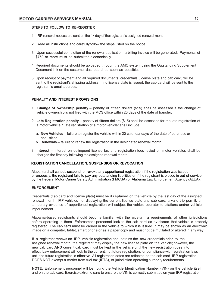#### <span id="page-14-0"></span>**STEPS TO FOLLOW TO RE-REGISTER**

- 1. IRP renewal notices are sent on the  $1<sup>st</sup>$  day of the registrant's assigned renewal month.
- 2. Read all instructions and carefully follow the steps listed on the notice.
- 3. Upon successful completion of the renewal application, a billing invoice will be generated. Payments of \$750 or more must be submitted electronically.
- 4. Required documents should be uploaded through the AMC system using the Outstanding Supplement Document link on the customer dashboard as soon as possible.
- 5. Upon receipt of payment and all required documents, credentials (license plate and cab card) will be sent to the registrant's shipping address. If no license plate is issued, the cab card will be sent to the registrant's email address.

#### <span id="page-14-1"></span>**PENALTY AND INTEREST PROVISIONS**

- 1. **Change of ownership penalty –** penalty of fifteen dollars (\$15) shall be assessed if the change of vehicle ownership is not filed with the MCS office within 20 days of the date of transfer.
- 2. **Late Registration penalty –** penalty of fifteen dollars (\$15) shall be assessed for the late registration of a motor vehicle. "Late registration of a motor vehicle" shall include:
	- a. **New Vehicles –** failure to register the vehicle within 20 calendar days of the date of purchase or acquisition.
	- b. **Renewals –** failure to renew the registration in the designated renewal month.
- 3. **Interest –** interest on delinquent license tax and registration fees levied on motor vehicles shall be charged the first day following the assigned renewal month.

#### <span id="page-14-2"></span>**REGISTRATION CANCELLATION, SUSPENSION OR REVOCATION**

Alabama shall cancel, suspend, or revoke any apportioned registration if the registration was issued erroneously, the registrant fails to pay any outstanding liabilities or if the registrant is placed in out-of-service by the Federal Motor Carrier Safety Administration (FMCSA) or Alabama Law Enforcement Agency (ALEA).

#### <span id="page-14-3"></span>**ENFORCEMENT**

Credentials (cab card and license plate) must be d i splayed on the vehicle by the last day of the assigned renewal month. IRP vehicles not displaying the current license plate and cab card, a valid trip permit, or temporary evidence of apportioned registration will subject the vehicle operator to citations and/or vehicle impoundment.

Alabama-based registrants should become familiar with the operating requirements of other jurisdictions before operating in them. Enforcement personnel look to the cab card as evidence that vehicle is properly registered. The cab card must be carried in the vehicle to which it is issued. It may be shown as an electronic image on a computer, tablet, smart phone or as a paper copy and must not be mutilated or altered in any way.

If a registrant renews an IRP vehicle registration and obtains the new credentials prior to the assigned renewal month, the registrant may display the new license plate on the vehicle; however, the new cab card **AND** current cab card must be kept in the vehicle until the new registration goes into effect. Law enforcement will look to the current, not future registration, for compliance with registration laws until the future registration is effective. All registration dates are reflected on the cab card. IRP registration DOES NOT exempt a carrier from fuel tax (IFTA), or jurisdiction operating authority requirements.

**NOTE:** Enforcement personnel will be noting the Vehicle Identification Number (VIN) on the vehicle itself and on the cab card. Exercise extreme care to ensure the VIN is correctly submitted on your IRP registration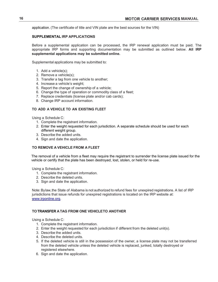application. (The certificate of title and VIN plate are the best sources for the VIN)

## **SUPPLEMENTAL IRP APPLICATIONS**

Before a supplemental application can be processed, the IRP renewal application must be paid. The appropriate IRP forms and supporting documentation may be submitted as outlined below. **All IRP supplemental applications may be submitted online.**

Supplemental applications may be submitted to:

- 1. Add a vehicle(s);
- 2. Remove a vehicle(s);
- 3. Transfer a tag from one vehicle to another;
- 4. Increase a vehicle's weight;
- 5. Report the change of ownership of a vehicle;
- 6. Change the type of operation or commodity class of a fleet;
- 7. Replace credentials (license plate and/or cab cards);
- 8. Change IRP account information.

# <span id="page-15-0"></span>**TO ADD A VEHICLE TO AN EXISTING FLEET**

Using a Schedule C:

- 1. Complete the registrant information.
- 2. Enter the weight requested for each jurisdiction. A separate schedule should be used for each different weight group.
- 3. Describe the added units.
- 4. Sign and date the application.

# <span id="page-15-1"></span>**TO REMOVE A VEHICLE FROM A FLEET**

The removal of a vehicle from a fleet may require the registrant to surrender the license plate issued for the vehicle or certify that the plate has been destroyed, lost, stolen, or held for re-use.

Using a Schedule C:

- 1. Complete the registrant information.
- 2. Describe the deleted units.
- 3. Sign and date the application.

Note: Bylaw,the State of Alabama is not authorized to refund fees for unexpired registrations. A list of IRP jurisdictions that issue refunds for unexpired registrations is located on the IRP website at: [www.irponline.org.](http://www.irponline.org/)

# <span id="page-15-2"></span>**TOTRANSFER ATAG FROM ONE VEHICLETO ANOTHER**

Using a Schedule C:

- 1. Complete the registrant information.
- 2. Enter the weight requested for each jurisdiction if different from the deleted unit(s).
- 3. Describe the added units.
- 4. Describe the deleted units.
- 5. If the deleted vehicle is still in the possession of the owner, a license plate may not be transferred from the deleted vehicle unless the deleted vehicle is replaced, junked, totally destroyed or registered elsewhere.
- 6. Sign and date the application.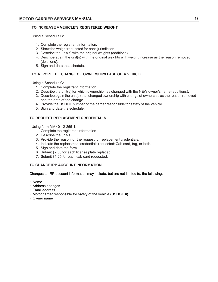# <span id="page-16-0"></span>**TO INCREASE A VEHICLE'S REGISTERED WEIGHT**

Using a Schedule C:

- 1. Complete the registrant information.
- 2. Show the weight requested for each jurisdiction.
- 3. Describe the unit(s) with the original weights (additions).
- 4. Describe again the unit(s) with the original weights with weight increase as the reason removed (deletions).
- 5. Sign and date the schedule.

# <span id="page-16-1"></span>**TO REPORT THE CHANGE OF OWNERSHIP/LEASE OF A VEHICLE**

Using a Schedule C:

- 1. Complete the registrant information.
- 2. Describe the unit(s) for which ownership has changed with the NEW owner's name (additions).
- 3. Describe again the unit(s) that changed ownership with change of ownership as the reason removed and the date of the change.
- 4. Provide the USDOT number of the carrier responsible for safety of the vehicle.
- 5. Sign and date the schedule.

# <span id="page-16-2"></span>**TO REQUEST REPLACEMENT CREDENTIALS**

Using form MV 40-12-265-1:

- 1. Complete the registrant information.
- 2. Describe the unit(s).
- 3. Provide the reason for the request for replacement credentials.
- 4. Indicate the replacement credentials requested: Cab card, tag, or both.
- 5. Sign and date the form.
- 6. Submit \$2.00 for each license plate replaced.
- 7. Submit \$1.25 for each cab card requested.

#### <span id="page-16-3"></span>**TO CHANGE IRP ACCOUNT INFORMATION**

Changes to IRP account information may include, but are not limited to, the following:

- Name
- Address changes
- Email address
- Motor carrier responsible for safety of the vehicle (USDOT #)
- Owner name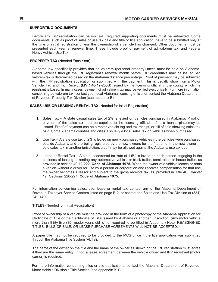#### <span id="page-17-0"></span>**SUPPORTING DOCUMENTS**

Before any IRP registration can be issued, required supporting documents must be submitted. Some documents, such as proof of sales or use tax paid and title or title application, have to be submitted only at the time of initial registration unless the ownership of a vehicle has changed. Other documents must be presented each year at renewal time. These include proof of payment of ad valorem tax, and Federal Heavy Vehicle Use Tax.

#### **PROPERTY TAX** (Needed Each Year)

Alabama law specifically provides that ad valorem (personal property) taxes must be paid on Alabamabased vehicles through the IRP registrant's renewal month before IRP credentials may be issued. Ad valorem tax is determined based on the Alabama distance percentage. Proof of payment may be submitted with the IRP registration application or submitted with the payment. This is usually shown on a Motor Vehicle Tag and Tax Receipt (MVR 40-12-253B) issued by the licensing official in the county which the registrant is based. In many cases, payment of ad valorem tax may be verified electronically. For more information concerning ad valorem tax, contact your local Alabama licensing official or contact the Alabama Department of Revenue, Property Tax Division (see appendix B).

#### **SALES, USE OR LEASING / RENTAL TAX** (Needed for Initial Registration)

- 1. Sales Tax A state casual sales tax of 2% is levied on vehicles purchased in Alabama. Proof of payment of the sales tax must be supplied to the licensing official before a license plate may be issued. Proof of payment can be a motor vehicle tag and tax receipt, or bill of sale showing sales tax paid. Some Alabama counties and cities also levy a local sales tax on vehicles when purchased.
- 2. Use Tax A state use tax of 2% is levied on newly purchased vehicles if the vehicles were purchased outside Alabama and are being registered by the new owners for the first time. If the new owner paid sales tax in another jurisdiction, credit may be allowed against the Alabama use tax due.
- 3. Lease or Rental Tax A state lease/rental tax rate of 1.5% is levied on each person engaging in the business of leasing or renting any automotive vehicle or truck trailer, semitrailer, or house trailer, as provided in section 40-12-222, **Code of Alabama 1975.** When the owner of a vehicle leases or rents a vehicle without a driver for use by a person or corporation and receives compensation for that use, the owner becomes a lessor and subject to the gross receipts tax as provided in Title 40, Chapter 12, Sections 220-227, **Code of Alabama 1975**.

For information concerning sales, use, lease or rental tax, contact any of the Alabama Department of Revenue Taxpayer Service Centers listed on page B-2, or contact the Sales and Use Tax Division at (334) 242-1490.

#### **TITLES** (Needed for Initial Registration)

Proof of ownership of a vehicle must be provided in the form of a photocopy of the Alabama Application for Certificate of Title or the Certificate of Title issued by Alabama or another jurisdiction. (Any motor vehicle more than thirty-five (35) model years old is not required to be titled in Alabama.) Note: REASSIGNED TITLES, BILLS OF SALE, OR LEASE PURCHASE AGREEMENTS WILL NOT BE ACCEPTED.

A paper title may not be required to be provided to the MCS office if the title application was submitted through the Alabama Title System (ALTS).

The name of the owner on the title and the name of the owner as shown on the IRP registration must agree if they are the same entity. If not, a lease agreement between the vehicle owner and IRP registrant (motor carrier) is required.

For more information concerning titles or title applications, contact the Alabama Department of Revenue, Motor Vehicle Division's Title Section (see appendix B-1).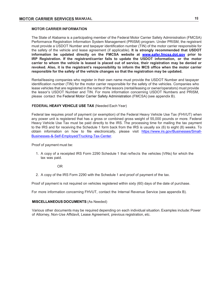#### **MOTOR CARRIER INFORMATION**

The State of Alabama is a participating member of the Federal Motor Carrier Safety Administration (FMCSA) Performance Registration Information System Management (PRISM) program. Under PRISM, the registrant must provide a USDOT Number and taxpayer identification number (TIN) of the motor carrier responsible for the safety of the vehicle and lease agreement (if applicable). **It is strongly recommended that USDOT information be updated directly on the FMCSA website at [www.safer.fmcsa.dot.gov](http://www.safer.fmcsa.dot.gov/) prior to IRP Registration. If the registrant/carrier fails to update the USDOT information, or the motor carrier to whom the vehicle is leased is placed out of service, their registration may be denied or revoked. Also, it is the registrant's responsibility to inform the MCS office when the motor carrier responsible for the safety of the vehicle changes so that the registration may be updated.**

Rental/leasing companies who register in their own name must provide the USDOT Number and taxpayer identification number (TIN) for the motor carrier responsible for the safety of the vehicles. Companies who lease vehicles that are registered in the name of the lessors (rental/leasing or owner/operators) must provide the lessor's USDOT Number and TIN. For more information concerning USDOT Numbers and PRISM, please contact the Federal Motor Carrier Safety Administration (FMCSA) (see appendix B).

#### **FEDERAL HEAVY VEHICLE USE TAX** (Needed Each Year)

Federal law requires proof of payment (or exemption) of the Federal Heavy Vehicle Use Tax (FHVUT) when any power unit is registered that has a gross or combined gross weight of 55,000 pounds or more. Federal Heavy Vehicle Use Tax must be paid directly to the IRS. The processing time for mailing the tax payment to the IRS and for receiving the Schedule 1 form back from the IRS is usually six (6) to eight (8) weeks. To obtain information on how to file electronically, please visit [https://www.irs.gov/Businesses/Small-](http://www.irs.gov/Businesses/Small-)Businesses-&-Self-Employed/Trucking-Tax-Center.

Proof of payment must be:

1. A copy of a receipted IRS Form 2290 Schedule 1 that reflects the vehicles (VINs) for which the tax was paid.

OR

2. A copy of the IRS Form 2290 with the Schedule 1 and proof of payment of the tax.

Proof of payment is not required on vehicles registered within sixty (60) days of the date of purchase.

For more information concerning FHVUT, contact the Internal Revenue Service (see appendix B).

#### **MISCELLANEOUS DOCUMENTS** (As Needed)

Various other documents may be required depending on each individual situation. Examples include: Power of Attorney, Non-Use Affidavit, Lease Agreement, previous registration, etc.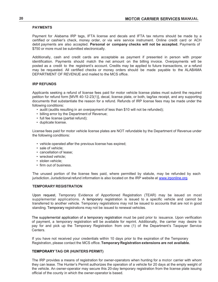# <span id="page-19-0"></span>**PAYMENTS**

Payment for Alabama IRP tags, IFTA license and decals and IFTA tax returns should be made by a certified or cashier's check, money order, or via wire service instrument. Online credit card or ACH debit payments are also accepted. **Personal or company checks will not be accepted.** Payments of \$750 or more must be submitted electronically.

Additionally, cash and credit cards are acceptable as payment if presented in person with proper identification. Payments should match the net amount on the billing invoice. Overpayments will be posted as a credit to the registrant's account. Credits may be applied to future transactions, or a refund may be requested. All certified checks or money orders should be made payable to the ALABAMA DEPARTMENT OF REVENUE and mailed to the MCS office.

#### <span id="page-19-1"></span>**IRP REFUNDS**

Applicants seeking a refund of license fees paid for motor vehicle license plates must submit the required petition for refund form [MVR 40-12-23(1)], decal, license plate, or both, tag/tax receipt, and any supporting documents that substantiate the reason for a refund. Refunds of IRP license fees may be made under the following conditions:

- audit (audits resulting in an overpayment of less than \$10 will not be refunded);
- billing error by the Department of Revenue;
- full fee license (partial refund);
- duplicate license.

License fees paid for motor vehicle license plates are NOT refundable by the Department of Revenue under the following conditions:

- vehicle operated after the previous license has expired;
- sale of vehicle;
- cancellation of lease;
- wrecked vehicle;
- stolen vehicle:
- firm out of business.

The unused portion of the license fees paid, where permitted by statute, may be refunded by each jurisdiction. Jurisdictional refund information is also located on the IRP website at [www.irponline.org.](http://www.irponline.org/)

#### <span id="page-19-2"></span>**TEMPORARY REGISTRATION**

Upon request, Temporary Evidence of Apportioned Registration (TEAR) may be issued on most supplemental applications. A temporary registration is issued to a specific vehicle and cannot be transferred to another vehicle. Temporary registrations may not be issued to accounts that are not in good standing. Temporary registrations may not be issued to renewal vehicles.

The supplemental application of a temporary registration must be paid prior to issuance. Upon verification of payment, a temporary registration will be available for reprint. Additionally, the carrier may desire to pay for and pick up the Temporary Registration from one (1) of the Department's Taxpayer Service Centers.

If you have not received your credentials within 10 days prior to the expiration of the Temporary Registration, please contact the MCS office. **Temporary Registration extensions are not available.**

#### <span id="page-19-3"></span>**TEMPORARY TAG OR (HUNTERS PERMIT)**

The IRP provides a means of registration for owner-operators when hunting for a motor carrier with whom they can lease. The Hunter's Permit authorizes the operation of a vehicle for 20 days at the empty weight of the vehicle. An owner-operator may secure this 20-day temporary registration from the license plate issuing official of the county in which the owner-operator is based.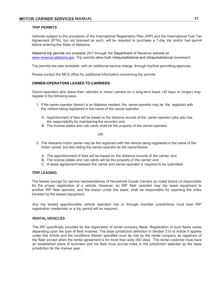#### <span id="page-20-0"></span>**TRIP PERMITS**

Vehicles subject to the provisions of the International Registration Plan (IRP) and the International Fuel Tax Agreement (IFTA), but not licensed as such, will be required to purchase a 7-day trip and/or fuel permit before entering the State of Alabama.

Alabama trip permits are available 24/7 through the Department of Revenue website at: [www.revenue.alabama.gov.](http://www.revenue.alabama.gov/) Trip permits allow both interjurisdictional and intrajurisdictional movement.

Trip permits are also available, with an additional service charge, through trip/fuel permitting agencies.

Please contact the MCS office for additional information concerning trip permits.

# <span id="page-20-1"></span>**OWNER-OPERATORS LEASED TO CARRIERS**

Owner-operators who lease their vehicles to motor carriers on a long-term basis (30 days or longer) may register in the following ways.

- 1. If the owner-operator (lessor) is an Alabama resident, the owner-operator may be the registrant with the vehicle being registered in the name of the owner-operator.
	- A. Apportionment of fees will be based on the distance records of the owner-operator (who also has the responsibility for maintaining the records); and
	- B. The license plates and cab cards shall be the property of the owner-operator.

#### OR

- 2. The Alabama motor carrier may be the registrant with the vehicle being registered in the name of the motor carrier, but also listing the owner-operator as the owner/lessor.
	- A. The apportionment of fees will be based on the distance records of the carrier; and
	- B. The license plates and cab cards will be the property of the carrier; and
	- C. A lease agreement between the carrier and owner-operator is required to be submitted.

#### <span id="page-20-2"></span>**TRIP LEASING**

The lessee (except for service representatives of Household Goods Carriers as noted below) is responsible for the proper registration of a vehicle. However, an IRP fleet operator may trip lease equipment to another IRP fleet operator; and the lessor under the lease, shall be responsible for reporting the miles traveled by the leased equipment.

Any trip leased apportionable vehicle operated into or through member jurisdictions must bear IRP registration credentials or a trip permit will be required.

#### <span id="page-20-3"></span>**RENTALVEHICLES**

The IRP specifically provides for the registration of rental company fleets. Registration of such fleets varies depending upon the type of fleet involved. The base jurisdiction definition in Section 210 of Article II applies under this Article and the conditions therein specified must be met by the rental company as registrant of the fleet; except when the rental agreement is for more than sixty (60) days. The rental customer must have an established place of business and his fleet must accrue miles in the jurisdiction selected as the base jurisdiction for the license year.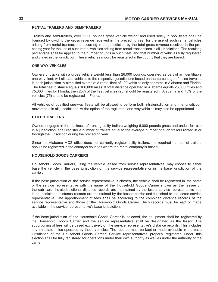# <span id="page-21-0"></span>**RENTAL TRAILERS AND SEMI-TRAILERS**

Trailers and semi-trailers, over 6,000 pounds gross vehicle weight and used solely in pool fleets shall be licensed by dividing the gross revenue received in the preceding year for the use of such rental vehicles arising from rental transactions occurring in the jurisdiction by the total gross revenue received in the preceding year for the use of such rental vehicles arising from rental transactions in all jurisdictions. The resulting percentage shall be applied to the number of units in such fleet, and that number of vehicles fully registered and plated in the jurisdiction. These vehicles should be registered in the county that they are based.

#### <span id="page-21-1"></span>**ONE-WAY VEHICLES**

Owners of trucks with a gross vehicle weight less than 26,000 pounds, operated as part of an identifiable one-way fleet, will allocate vehicles to the respective jurisdictions based on the percentage of miles traveled in each jurisdiction. A simplified example: A rental fleet of 100 vehicles only operates in Alabama and Florida. The total fleet distance equals 100,000 miles. If total distance operated in Alabama equals 25,000 miles and 75,000 miles for Florida, then 25% of the fleet vehicles (25) should be registered in Alabama and 75% of the vehicles (75) should be registered in Florida.

All vehicles of qualified one-way fleets will be allowed to perform both intrajurisdiction and interjurisdiction movements in all jurisdictions. At the option of the registrant, one-way vehicles may also be apportioned.

#### <span id="page-21-2"></span>**UTILITY TRAILERS**

Owners engaged in the business of renting utility trailers weighing 6,000 pounds gross and under, for use in a jurisdiction, shall register a number of trailers equal to the average number of such trailers rented in or through the jurisdiction during the preceding year.

Since the Alabama MCS office does not currently register utility trailers, the required number of trailers should be registered in the county or counties where the rental company is based.

#### <span id="page-21-3"></span>**HOUSEHOLD GOODS CARRIERS**

Household Goods Carriers, using the vehicle leased from service representatives, may choose to either base the vehicle in the base jurisdiction of the service representative or in the base jurisdiction of the carrier.

If the base jurisdiction of the service representative is chosen, the vehicle shall be registered in the name of the service representative with the name of the Household Goods Carrier shown as the lessee on the cab card. Intrajurisdictional distance records are maintained by the lessor-service representative and interjurisdictional distance records are maintained by the lessee-carrier and furnished to the lessor-service representative. The apportionment of fees shall be according to the combined distance records of the service representative and those of the Household Goods Carrier. Such records must be kept or made available in the service representative's base jurisdiction.

If the base jurisdiction of the Household Goods Carrier is selected, the equipment shall be registered by the Household Goods Carrier and the service representative shall be designated as the lessor. The apportioning of fees will be based exclusively on the service representative's distance records. This includes any intrastate miles operated by those vehicles. The records must be kept or made available in the base jurisdiction of the Household Goods Carrier. Service representatives properly registered under this election shall be fully registered for operations under their own authority as well as under the authority of the carrier.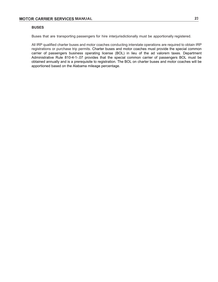#### <span id="page-22-0"></span>**BUSES**

Buses that are transporting passengers for hire interjurisdictionally must be apportionally registered.

All IRP qualified charter buses and motor coaches conducting interstate operations are required to obtain IRP registrations or purchase trip permits. Charter buses and motor coaches must provide the special common carrier of passengers business operating license (BOL) in lieu of the ad valorem taxes. Department Administrative Rule 810-4-1-.07 provides that the special common carrier of passengers BOL must be obtained annually and is a prerequisite to registration. The BOL on charter buses and motor coaches will be apportioned based on the Alabama mileage percentage.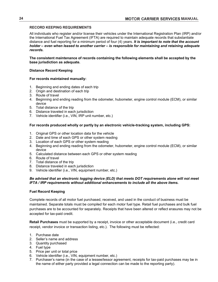# <span id="page-23-0"></span>**RECORD KEEPING REQUIREMENTS**

All individuals who register and/or license their vehicles under the International Registration Plan (IRP) and/or the International Fuel Tax Agreement (IFTA) are required to maintain adequate records that substantiate distance and fuel reporting for a minimum period of four (4) years. *It is important to note that the account holder – even when leased to another carrier – is responsible for maintaining and retaining adequate records.*

**The consistent maintenance of records containing the following elements shall be accepted by the base jurisdiction as adequate.**

# <span id="page-23-1"></span>**Distance Record Keeping**

# **For records maintained manually:**

- 1. Beginning and ending dates of each trip
- 2. Origin and destination of each trip
- 3. Route of travel
- 4. Beginning and ending reading from the odometer, hubometer, engine control module (ECM), or similar device
- 5. Total distance of the trip
- 6. Distance traveled in each jurisdiction
- 7. Vehicle identifier (i.e., VIN, IRP unit number, etc.)

# **For records produced wholly or partly by an electronic vehicle-tracking system, including GPS:**

- 1. Original GPS or other location data for the vehicle
- 2. Date and time of each GPS or other system reading
- 3. Location of each GPS or other system reading
- 4. Beginning and ending reading from the odometer, hubometer, engine control module (ECM), or similar device
- 5. Calculated distance between each GPS or other system reading
- 6. Route of travel
- 7. Total distance of the trip
- 8. Distance traveled in each jurisdiction
- 9. Vehicle identifier (i.e., VIN, equipment number, etc.)

# *Be advised that an electronic logging device (ELD) that meets DOT requirements alone will not meet IFTA / IRP requirements without additional enhancements to include all the above items.*

# <span id="page-23-2"></span>**Fuel Record Keeping**

Complete records of all motor fuel purchased, received, and used in the conduct of business must be maintained. Separate totals must be compiled for each motor fuel type. Retail fuel purchases and bulk fuel purchases are to be accounted for separately. Receipts that have been altered or reflect erasures may not be accepted for tax-paid credit.

**Retail Purchases** must be supported by a receipt, invoice or other acceptable document (i.e., credit card receipt, vendor invoice or transaction listing, etc.). The following must be reflected:

- 1. Purchase date
- 2. Seller's name and address
- 3. Quantity purchased
- 4. Fuel type
- 5. Price per unit or total price
- 6. Vehicle identifier (i.e., VIN, equipment number, etc.)
- 7. Purchaser's name (in the case of a lessee/lessor agreement, receipts for tax-paid purchases may be in the name of either party provided a legal connection can be made to the reporting party).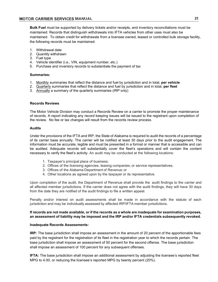**Bulk Fuel** must be supported by delivery tickets and/or receipts, and inventory reconciliations must be maintained. Records that distinguish withdrawals into IFTA vehicles from other uses must also be maintained. To obtain credit for withdrawals from a licensee owned, leased or controlled bulk storage facility, the following records must be maintained:

- 1. Withdrawal date
- 2. Quantity withdrawn
- 3. Fuel type
- 4. Vehicle identifier (i.e., VIN, equipment number, etc.)
- 5. Purchase and inventory records to substantiate the payment of tax

#### **Summaries:**

- 1. Monthly summaries that reflect the distance and fuel by jurisdiction and in total, **per vehicle**
- 2. Quarterly summaries that reflect the distance and fuel by jurisdiction and in total, **per fleet**
- 3. Annually a summary of the quarterly summaries (IRP only)

#### <span id="page-24-0"></span>**Records Reviews**

The Motor Vehicle Division may conduct a Records Review on a carrier to promote the proper maintenance of records. A report indicating any record keeping issues will be issued to the registrant upon completion of the review. No fee or tax changes will result from the records review process.

#### <span id="page-24-1"></span>**Audits**

Under the provisions of the IFTA and IRP, the State of Alabama is required to audit the records of a percentage of its carrier base annually. The carrier will be notified at least 30 days prior to the audit engagement. The information must be accurate, legible and must be presented in a format or manner that is accessible and can be audited. Adequate records will substantially cover the fleet's operations and will contain the content necessary to verify the fleet's activity. An audit may be conducted at the following locations:

- 1. Taxpayer's principal place of business;
- 2. Offices of the licensing agencies, leasing companies, or service representatives;
- 3. Offices of the Alabama Department of Revenue; or
- 4. Other locations as agreed upon by the taxpayer or its representative.

Upon completion of the audit, the Department of Revenue shall provide the audit findings to the carrier and all affected member jurisdictions. If the carrier does not agree with the audit findings, they will have 30 days from the date they are notified of the audit findings to file a written appeal.

Penalty and/or interest on audit assessments shall be made in accordance with the statute of each jurisdiction and may be individually assessed by affected IRP/IFTA member jurisdictions.

#### If records are not made available, or if the records as a whole are inadequate for examination purposes, **an assessment of liability may be imposed and the IRP and/or IFTA credentials subsequently revoked.**

# **Inadequate Records Assessments:**

**IRP:** The base jurisdiction shall impose an assessment in the amount of 20 percent of the apportionable fees paid by the registrant for the registration of its fleet in the registration year to which the records pertain. The base jurisdiction shall impose an assessment of 50 percent for the second offense. The base jurisdiction shall impose an assessment of 100 percent for any subsequent offenses.

**IFTA:** The base jurisdiction shall impose an additional assessment by adjusting the licensee's reported fleet MPG to 4.00, or reducing the licensee's reported MPG by twenty percent (20%).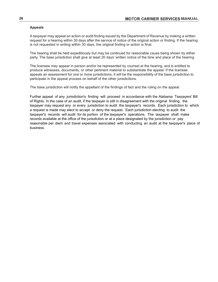# <span id="page-25-0"></span>**Appeals**

A taxpayer may appeal an action or audit finding issued by the Department of Revenue by making a written request for a hearing within 30 days after the service of notice of the original action or finding. If the hearing is not requested in writing within 30 days, the original finding or action is final.

The hearing shall be held expeditiously but may be continued for reasonable cause being shown by either party. The base jurisdiction shall give at least 20 days' written notice of the time and place of the hearing.

The licensee may appear in person and/or be represented by counsel at the hearing, and is entitled to produce witnesses, documents, or other pertinent material to substantiate the appeal. If the licensee appeals an assessment for one or more jurisdictions, it will be the responsibility of the base jurisdiction to participate in the appeal process on behalf of the other jurisdictions.

The base jurisdiction will notify the appellant of the findings of fact and the ruling on the appeal.

Further appeal of any jurisdiction's finding will proceed in accordance with the Alabama Taxpayers' Bill of Rights. In the case of an audit, if the taxpayer is still in disagreement with the original finding, the taxpayer may request any or every jurisdiction to audit the taxpayer's records. Each jurisdiction to which a request is made may elect to accept or deny the request. Each jurisdiction electing to audit the taxpayer's records will audit for its portion of the taxpayer's operations. The taxpayer shall make records available at the office of the jurisdiction or at a place designated by the jurisdiction or pay reasonable per diem and travel expenses associated with conducting an audit at the taxpayer's place of business.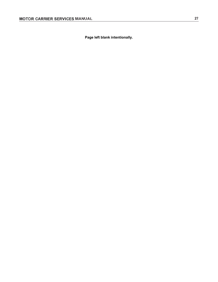**Page left blank intentionally.**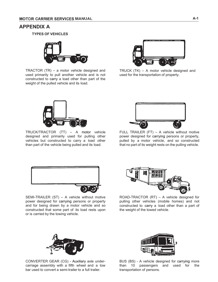# **APPENDIX A**

**TYPES OF VEHICLES**



TRACTOR (TR) – a motor vehicle designed and used primarily to pull another vehicle and is not constructed to carry a load other than part of the weight of the pulled vehicle and its load.



TRUCK (TK) – A motor vehicle designed and used for the transportation of property.



TRUCK/TRACTOR (TT) – A motor vehicle designed and primarily used for pulling other vehicles but constructed to carry a load other than part of the vehicle being pulled and its load.



FULL TRAILER (FT) – A vehicle without motive power designed for carrying persons or property, pulled by a motor vehicle, and so constructed that no part of its weight rests on the pulling vehicle.



SEMI-TRAILER (ST) – A vehicle without motive power designed for carrying persons or property and for being drawn by a motor vehicle and so constructed that some part of its load rests upon or is carried by the towing vehicle.



ROAD-TRACTOR (RT) – A vehicle designed for pulling other vehicles (mobile homes) and not constructed to carry a load other than a part of the weight of the towed vehicle.



CONVERTER GEAR (CG) - Auxiliary axle undercarriage assembly with a fifth wheel and a tow bar used to convert a semi-trailer to a full trailer.



BUS (BS) - A vehicle designed for carrying more than 10 passengers and used for the transportation of persons.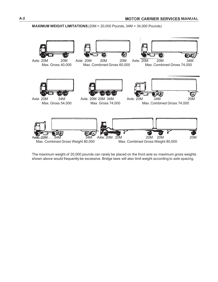**MAXIMUM WEIGHT LIMITATIONS**(20M = 20,000 Pounds, 34M = 34,000 Pounds)



The maximum weight of 20,000 pounds can rarely be placed on the front axle so maximum gross weights shown above would frequently be excessive. Bridge laws will also limit weight according to axle spacing.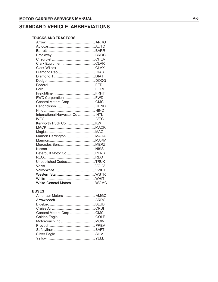# **STANDARD VEHICLE ABBREVIATIONS**

# **TRUCKS AND TRACTORS**

| General Motors Corp GMC         |  |
|---------------------------------|--|
|                                 |  |
|                                 |  |
| International Harvester Co INTL |  |
|                                 |  |
|                                 |  |
|                                 |  |
|                                 |  |
| Marnon Harrington MAHA          |  |
|                                 |  |
|                                 |  |
|                                 |  |
| Peterbuilt Motor Co  PTRB       |  |
|                                 |  |
| Unpublished CodesTRUK           |  |
|                                 |  |
|                                 |  |
|                                 |  |
|                                 |  |
| White-General Motors  WGMC      |  |

# **BUSES**

| General Motors Corp GMC |  |
|-------------------------|--|
|                         |  |
|                         |  |
|                         |  |
|                         |  |
|                         |  |
|                         |  |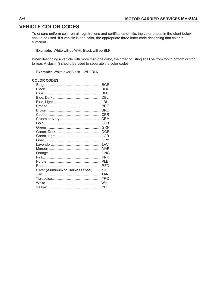# **VEHICLE COLOR CODES**

To ensure uniform color on all registrations and certificates of title, the color codes in the chart below should be used. If a vehicle is one color, the appropriate three letter code describing that color is sufficient.

**Example:** White will be WHI, Black will be BLK

When describing a vehicle with more than one color, the order of listing shall be from top to bottom or front to rear. A slash (/) should be used to separate the color codes.

**Example:** White over Black – WHI/BLK

# **COLOR CODES**

| Bronze…………………………………………………BRZ             |  |
|------------------------------------------|--|
|                                          |  |
|                                          |  |
|                                          |  |
|                                          |  |
|                                          |  |
|                                          |  |
|                                          |  |
|                                          |  |
|                                          |  |
|                                          |  |
|                                          |  |
|                                          |  |
|                                          |  |
|                                          |  |
| Silver (Aluminum or Stainless Steel) SIL |  |
|                                          |  |
|                                          |  |
|                                          |  |
|                                          |  |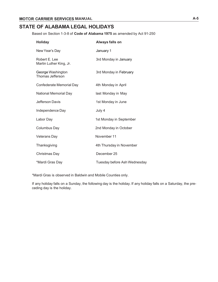# **STATE OF ALABAMA LEGAL HOLIDAYS**

Based on Section 1-3-8 of **Code of Alabama 1975** as amended by Act 91-250

| <b>Holiday</b>                           | Always falls on              |
|------------------------------------------|------------------------------|
| New Year's Day                           | January 1                    |
| Robert E. Lee<br>Martin Luther King, Jr. | 3rd Monday in January        |
| George Washington<br>Thomas Jefferson    | 3rd Monday in February       |
| Confederate Memorial Day                 | 4th Monday in April          |
| National Memorial Day                    | last Monday in May           |
| Jefferson Davis                          | 1st Monday in June           |
| Independence Day                         | July 4                       |
| Labor Day                                | 1st Monday in September      |
| Columbus Day                             | 2nd Monday in October        |
| <b>Veterans Day</b>                      | November 11                  |
| Thanksgiving                             | 4th Thursday in November     |
| Christmas Day                            | December 25                  |
| *Mardi Gras Day                          | Tuesday before Ash Wednesday |

\*Mardi Gras is observed in Baldwin and Mobile Counties only.

If any holiday falls on a Sunday, the following day is the holiday. If any holiday falls on a Saturday, the preceding day is the holiday.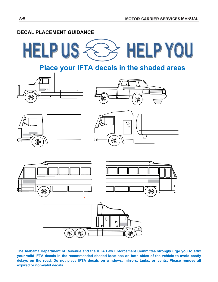# **DECAL PLACEMENT GUIDANCE**



# **Place your IFTA decals in the shaded areas**



**The Alabama Department of Revenue and the IFTA Law Enforcement Committee strongly urge you to affix your valid IFTA decals in the recommended shaded locations on both sides of the vehicle to avoid costly delays on the road. Do not place IFTA decals on windows, mirrors, tanks, or vents. Please remove all expired or non-valid decals.**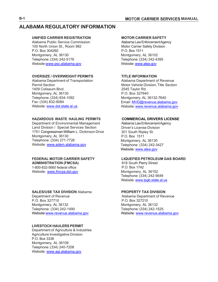# **ALABAMA REGULATORY INFORMATION**

## **UNIFIED CARRIER REGISTRATION**

Alabama Public Service Commission 100 North Union St., Room 982 P.O. Box 304260 Montgomery, AL 36130 Telephone:(334) 242-5176 Website[:www.psc.alabama.gov](http://www.psc.alabama.gov/)

# **OVERSIZE / OVERWEIGHT PERMITS**

Alabama Department of Transportation Permit Section 1409 Coliseum Blvd. Montgomery, AL 36130 Telephone:(334) 834-1092 Fax: (334) 832-9084 Website: [www.dot.state.al.us](http://www.dot.state.al.us/)

# **HAZARDOUS WASTE HAULING PERMITS**

Department of Environmental Management Land Division / Special Services Section 1751 CongressmanWilliam L. Dickinson Drive Montgomery, AL 36130 Telephone: (334) 271-7726 Website: [www.adem.alabama.gov](http://www.adem.alabama.gov/)

# **FEDERAL MOTOR CARRIER SAFETY**

**ADMINISTRATION (FMCSA)** 1-800-832-5660 federal office Website: [www.fmcsa.dot.gov](http://www.fmcsa.dot.gov/)

# **SALES/USE TAX DIVISION** Alabama

Department of Revenue P.O. Box 327710 Montgomery, AL 36132 Telephone: (334) 242-1490 Website[:www.revenue.alabama.gov](http://www.revenue.alabama.gov/)

# **LIVESTOCK HAULERS PERMIT**

Department of Agriculture & Industries Agriculture Investigative Division P.O. Box 3336 Montgomery, AL 36109 Telephone:(334) 240-7208 Website: [www.agi.alabama.gov](http://www.agi.alabama.gov/)

## **MOTOR CARRIER SAFETY**

Alabama LawEnforcementAgency Motor Carrier Safety Division P.O. Box 1511 Montgomery, AL 36102 Telephone:(334) 242-4395 Website: [www.alea.gov](http://www.dps.alea.gov/)

# **TITLE INFORMATION**

Alabama Department of Revenue Motor Vehicle Division, Title Section 2545 Taylor Rd. P.O. Box 327640 Montgomery, AL 36132-7640 Email: [MVD@revenue.alabama.gov](mailto:MVD@revenue.alabama.gov) Website: [www.revenue.alabama.gov](http://www.revenue.alabama.gov/)

# **COMMERCIAL DRIVERS LICENSE**

Alabama LawEnforcementAgency Driver's License Division 301 South Ripley St. P.O. Box 1511 Montgomery, AL 36130 Telephone: (334) 242-3427 Website: [www.alea.gov](http://www.alea.gov/)

# **LIQUEFIED PETROLEUM GAS BOARD**

818 South Perry Street P.O. Box 1742 Montgomery, AL 36102 Telephone:(334) 242-5649 Website: [www.lpgb.state.al.us](http://www.lpgb.state.al.us/)

# **PROPERTY TAX DIVISION**

Alabama Department of Revenue P.O. Box 327210 Montgomery, AL 36132 Telephone:(334) 242-1525 Website: [www.revenue.alabama.gov](http://www.revenue.alabama.gov/)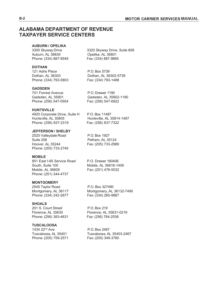# **ALABAMA DEPARTMENT OF REVENUE TAXPAYER SERVICE CENTERS**

#### **AUBURN / OPELIKA**

Auburn, AL 36830 Opelika, AL 36801 Phone: (334) 887-9549

**DOTHAN**

121 Adris Place P.O. Box 5739 Phone: (334) 793-5803 Fax: (334) 793-1488

#### **GADSDEN**

Phone: (256) 547-0554 Fax: (256) 547-6922

**HUNTSVILLE**

4920 Corporate Drive, Suite H P.O. Box 11487 Huntsville, AL 35805 Huntsville, AL 35814-1487 Phone: (256) 837-2319 Fax: (256) 837-7322

**JEFFERSON / SHELBY**

2020 Valleydale Road P.O. Box 1927 Suite 208 Pelham, AL 35124<br>Hoover, AL 35244 Fax: (205) 733-298 Phone: (205) 733-2740

#### **MOBILE**

851 East I-65 Service Road P.O. Drawer 160406 South, Suite 100 Mobile, AL 36616-1406 Mobile, AL 36609 Fax: (251) 476-5032 Phone: (251) 344-4737

#### **MONTGOMERY**

2545 Taylor Road P.O. Box 327490 Phone: (334) 242-2677 Fax: (334) 265-9887

#### **SHOALS**

201 S. Court Street P.O. Box 219 Phone: (256) 383-4631

#### **TUSCALOOSA**

1434 22<sup>nd</sup> Ave P.O. Box 2467 Phone: (205) 759-2571 Fax: (205) 349-3780

3300 Skyway Drive 3320 Skyway Drive, Suite 808

Dothan, AL 36303 Dothan, AL 36302-5739

701 Forrest Avenue P.O. Drawer 1190 Gadsden, AL 35901 Gadsden, AL 35902-1190

Fax: (205) 733-2989

Montgomery, AL 36117 Montgomery, AL 36132-7490

Florence, AL 35630 Florence, AL 35631-0219<br>Phone: (256) 383-4631 Fax: (256) 764-2536

Tuscaloosa, AL 35401 Tuscaloosa, AL 35403-2467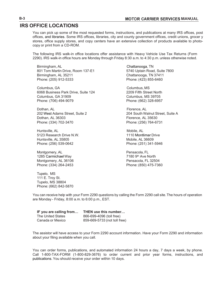# **IRS OFFICE LOCATIONS**

You can pick up some of the most requested forms, instructions, and publications at many IRS offices, post offices, and libraries. Some IRS offices, libraries, city and county government offices, credit unions, grocer y stores, office supply stores, and copy centers have an extensive collection of products available to photocopy or print from a CD-ROM.

The following IRS walk-in office locations offer assistance with Heavy Vehicle Use Tax Returns (Form 2290). IRS walk-in office hours are Monday through Friday 8:30 a.m. to 4:30 p.m. unless otherwise noted.

Birmingham, AL Chattanooga, TN 801 Tom Martin Drive, Room 137-E1 5740 Uptain Road, Suite 7800 Birmingham, AL 35211 Chattanooga, TN 37411 Phone: (205) 912-5333 Phone: (423) 855-6460

Columbus, GA Columbus, MS 6068 Business Park Drive, Suite 124 2209 Fifth Street North Columbus, GA 31909 Columbus, MS 39705 Phone: (706) 494-9079 Phone: (662) 328-6957

Dothan, AL Florence, AL Dothan, AL 36303 **Florence**, AL 35630 Phone: (334) 702-3470 Phone: (256) 764-6731

Huntsville, AL Mobile, AL 5123 Research Drive N.W. 1110 Montlimar Drive Huntsville, AL 35805 Mobile, AL 36609 Phone: (256) 539-0642 Phone: (251) 341-5946

Montgomery, AL **Pensacola**, FL 1285 Carmichael Way 7180 9th Ave North Montgomery, AL 36106 **Pensacola, FL 32504** Phone: (334) 264-2453 Phone: (850) 475-7360

Tupelo, MS 111 E. Troy St. Tupelo, MS 38804 Phone: (662) 842-5870

202 West Adams Street, Suite 2 204 South Walnut Street, Suite A

You can receive help with your Form 2290 questions by calling the Form 2290 call site.The hours of operation are Monday - Friday, 8:00 a.m. to 6:00 p.m., EST.

| IF you are calling from | THEN use this number         |
|-------------------------|------------------------------|
| The United States       | 866-699-4096 (toll free)     |
| Canada or Mexico        | 859-669-5733 (not toll free) |

The assistor will have access to your Form 2290 account information. Have your Form 2290 and information about your filing available when you call.

You can order forms, publications, and automated information 24 hours a day, 7 days a week, by phone. Call 1-800-TAX-FORM (1-800-829-3676) to order current and prior year forms, instructions, and publications. You should receive your order within 10 days.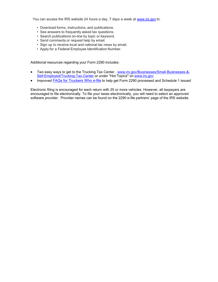You can access the IRS website 24 hours a day, 7 days a week at [www.irs.gov](http://www.irs.gov/) to:

- Download forms, instructions, and publications.
- See answers to frequently asked tax questions.
- Search publications on-line by topic or keyword.
- Send comments or request help by email.
- Sign up to receive local and national tax news by email.
- Apply for a Federal Employee Identification Number.

Additional resources regarding your Form 2290 includes:

- Two easy ways to get to the Trucking Tax Center [www.irs.gov/Businesses/Small-Businesses-&-](http://www.irs.gov/Businesses/Small-Businesses-%26-) Self-Employed/Trucking-Tax-Center or under "Hot Topics" on [www.irs.gov](http://www.irs.gov/)
- Improved FAQs for Truckers Who e-file to help get Form 2290 processed and Schedule 1 issued

Electronic filing is encouraged for each return with 25 or more vehicles. However, all taxpayers are encouraged to file electronically. To file your taxes electronically, you will need to select an approved software provider. Provider names can be found on the 2290 e-file partners' page of the IRS website.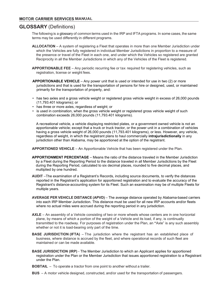# **GLOSSARY** (Definitions)

The following is a glossary of common terms used in the IRP and IFTA programs. In some cases, the same terms may be used differently in different programs.

- **ALLOCATION**  A system of registering a Fleet that operates in more than one Member Jurisdiction under which the Vehicles are fully registered in individual Member Jurisdictions in proportion to a measure of the presence or travel of the Fleet in each one, and under which the Vehicles so registered are granted Reciprocity in all the Member Jurisdictions in which any of the Vehicles of the Fleet is registered.
- **APPORTIONABLE FEE**  Any periodic recurring fee or tax required for registering vehicles, such as registration, license or weight fees.
- **APPORTIONABLE VEHICLE**  Any power unit that is used or intended for use in two (2) or more jurisdictions and that is used for the transportation of persons for hire or designed, used, or maintained primarily for the transportation of property, and:
- has two axles and a gross vehicle weight or registered gross vehicle weight in excess of 26,000 pounds (11,793.401 kilograms); or
- has three or more axles, regardless of weight; or
- is used in combination, when the gross vehicle weight or registered gross vehicle weight of such combination exceeds 26,000 pounds (11,793.401 kilograms).

A recreational vehicle, a vehicle displaying restricted plates, or a government owned vehicle is not an apportionable vehicle; except that a truck or truck tractor, or the power unit in a combination of vehicles having a gross vehicle weight of 26,000 pounds (11,793.401 kilograms), or less. However, any vehicle, regardless of weight, in which the registrant plans to haul commercially **intrajurisdictionally** in any jurisdiction other than Alabama, may be apportioned at the option of the registrant.

**APPORTIONED VEHICLE** – An Apportionable Vehicle that has been registered under the Plan.

- **APPORTIONMENT PERCENTAGE**  Means the ratio of the distance traveled in the Member Jurisdiction by a Fleet during the Reporting Period to the distance traveled in all Member Jurisdictions by the Fleet during the Reporting Period, calculated to six decimal places, rounded to five decimal places, and multiplied by one hundred.
- **AUDIT** –The examination of a Registrant's Records, including source documents, to verify the distances reported in the Registrant's application for apportioned registration and to evaluate the accuracy of the Registrant's distance-accounting system for its Fleet. Such an examination may be of multiple Fleets for multiple years.
- **AVERAGE PER VEHICLE DISTANCE (APVD)** The average distance operated by Alabama-based carriers into each IRP Member Jurisdiction. This distance must be used for all new IRP accounts and/or fleets where no actual miles were accrued during the reporting period in any jurisdiction.
- **AXLE**  An assembly of a Vehicle consisting of two or more wheels whose centers are in one horizontal plane, by means of which a portion of the weight of a Vehicle and its load, if any, is continually transmitted to the roadway. For purposes of registration under the Plan, an **"**Axle" is any such assembly whether or not it is load-bearing only part of the time.
- **BASE JURISDICTION (IFTA)** The jurisdiction where the registrant has an established place of business, where distance is accrued by the fleet, and where operational records of such fleet are maintained or can be made available.
- **BASE JURISDICTION (IRP)**  The Member Jurisdiction to which an Applicant applies for apportioned registration under the Plan or the Member Jurisdiction that issues apportioned registration to a Registrant under the Plan.
- **BOBTAIL** To operate a tractor from one point to another without a trailer.
- **BUS** A motor vehicle designed, constructed, and/or used for the transportation of passengers.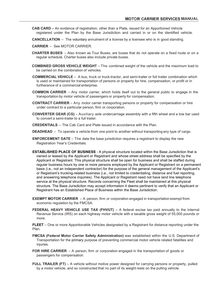- **CAB CARD –** An evidence of registration, other than a Plate, issued for an Apportioned Vehicle registered under the Plan by the Base Jurisdiction and carried in or on the identified vehicle.
- **CANCELLATION** The voluntary annulment of a license by a licensee who is in good standing.
- **CARRIER** See MOTOR CARRIER.
- **CHARTER BUSES** Also known as Tour Buses, are buses that do not operate on a fixed route or on a regular schedule. Charter buses also include private buses.
- **COMBINED GROSS VEHICLE WEIGHT**  The combined weight of the vehicle and the maximum load to be carried on the combination of vehicles.
- **COMMERCIAL VEHICLE** A bus, truck or truck-tractor, and semi-trailer or full trailer combination which is used or maintained for transportation of persons or property for hire, compensation, or profit or in furtherance of a commercial enterprise.
- **COMMON CARRIER** Any motor carrier, which holds itself out to the general public to engage in the transportation by motor vehicle of passengers or property for compensation.
- **CONTRACT CARRIER** Any motor carrier transporting persons or property for compensation or hire under contract to a particular person, firm or corporation.
- **CONVERTER GEAR (CG)** Auxiliary axle undercarriage assembly with a fifth wheel and a tow bar used to convert a semi-trailer to a full trailer.
- **CREDENTIALS** The Cab Card and Plate issued in accordance with the Plan.
- **DEADHEAD** To operate a vehicle from one point to another without transporting any type of cargo.
- **ENFORCEMENT DATE**  The date the base jurisdiction requires a registrant to display the new Registration Year's Credentials.
- **ESTABLISHED PLACE OF BUSINESS**  A physical structure located within the Base Jurisdiction that is owned or leased by the Applicant or Registrant and whose street address shall be specified by the Applicant or Registrant. This physical structure shall be open for business and shall be staffed during regular business hours by one or more persons employed by the Applicant or Registrant on a permanent basis (i.e., not an independent contractor) for the purpose of the general management of the Applicant's or Registrant's trucking-related business (i.e., not limited to credentialing, distance and fuel reporting, and answering telephone inquiries). The Applicant or Registrant need not have land line telephone service at the physical structure. Records concerning the Fleet shall be maintained at this physical structure. The Base Jurisdiction may accept information it deems pertinent to verify that an Applicant or Registrant has an Established Place of Business within the Base Jurisdiction.
- **EXEMPT MOTOR CARRIER** A person, firm or corporation engaged in transportation exempt from economic regulation by the FMCSA.
- **FEDERAL HEAVY VEHICLE USE TAX (FHVUT)** A federal excise tax paid annually to the Internal Revenue Service (IRS) on each highway motor vehicle with a taxable gross weight of 55,000 pounds or more.

**FLEET** – One or more Apportionable Vehicles designated by a Registrant for distance reporting under the Plan.

- **FMCSA (Federal Motor Carrier Safety Administration)** was established within the U.S. Department of Transportation for the primary purpose of preventing commercial motor vehicle related fatalities and injuries.
- **FOR HIRE CARRIER** A person, firm or corporation engaged in the transportation of goods or passengers for compensation.
- **FULL TRAILER (FT)**  A vehicle without motive power designed for carrying persons or property, pulled by a motor vehicle, and so constructed that no part of its weight rests on the pulling vehicle.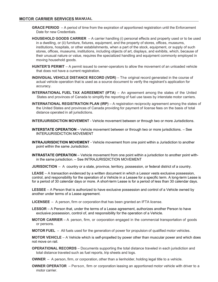- **GRACE PERIOD** A period of time from the expiration of apportioned registration until the Enforcement Date for new Credentials.
- **HOUSEHOLD GOODS CARRIER** A carrier handling (i) personal effects and property used or to be used in a dwelling, or (ii) furniture, fixtures, equipment, and the property of stores, offices, museums, institutions, hospitals, or other establishments, when a part of the stock, equipment, or supply of such stores, offices, museums, institutions, including objects of art, displays, and exhibits, which, because of their unusual nature or value, requires the specialized handling and equipment commonly employed in moving household goods.
- **HUNTER'S PERMIT** A permit issued to owner-operators to allow the movement of an unloaded vehicle that does not have a current registration.
- **INDIVIDUAL VEHICLE DISTANCE RECORD (IVDR)** The original record generated in the course of actual vehicle operation that is used as a source document to verify the registrant's application for accuracy.
- **INTERNATIONAL FUEL TAX AGREEMENT (IFTA)** An agreement among the states of the United States and provinces of Canada to simplify the reporting of fuel use taxes by interstate motor carriers.
- **INTERNATIONAL REGISTRATION PLAN (IRP)** A registration reciprocity agreement among the states of the United States and provinces of Canada providing for payment of license fees on the basis of total distance operated in all jurisdictions.
- **INTERJURISDICTION MOVEMENT** Vehicle movement between or through two or more Jurisdictions.
- **INTERSTATE OPERATION**  Vehicle movement between or through two or more jurisdictions. See INTERJURISDICTION MOVEMENT
- **INTRAJURISDICTION MOVEMENT**  Vehicle movement from one point within a Jurisdiction to another point within the same Jurisdiction.
- **INTRASTATE OPERATION** Vehicle movement from one point within a jurisdiction to another point within the same jurisdiction. – See INTRAJURISDICTION MOVEMENT
- **JURISDICTION** A country or a state, province, territory, possession, or federal district of a country.

**LEASE** – A transaction evidenced by a written document in which a Lessor vests exclusive possession, control, and responsibility for the operation of a Vehicle in a Lessee for a specific term. A long-term Lease is for a period of 30 calendar days or more. A short-term Lease is for a period of less than 30 calendar days.

**LESSEE** – A Person that is authorized to have exclusive possession and control of a Vehicle owned by another under terms of a Lease agreement.

- **LICENSEE** A person, firm or corporation that has been granted an IFTA license.
- **LESSOR** A Person that, under the terms of a Lease agreement, authorizes another Person to have exclusive possession, control of, and responsibility for the operation of a Vehicle.
- **MOTOR CARRIER** A person, firm, or corporation engaged in the commercial transportation of goods or persons.
- **MOTOR FUEL** All fuels used for the generation of power for propulsion of qualified motor vehicles.

**MOTOR VEHICLE** – A Vehicle which is self-propelled by power other than muscular power and which does not move on rail.

- **OPERATIONAL RECORDS** Documents supporting the total distance traveled in each jurisdiction and total distance traveled such as fuel reports, trip sheets and logs.
- **OWNER** A person, firm, or corporation, other than a lienholder, holding legal title to a vehicle.
- **OWNER OPERATOR** Person, firm or corporation leasing an apportioned motor vehicle with driver to a motor carrier.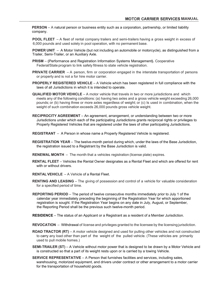**PERSON** – A natural person or business entity such as a corporation, partnership, or limited liability company.

**POOL FLEET** – A fleet of rental company trailers and semi-trailers having a gross weight in excess of 6,000 pounds and used solely in pool operation, with no permanent base.

**POWER UNIT** – A Motor Vehicle (but not including an automobile or motorcycle), as distinguished from a Trailer, Semi-Trailer, or an Auxiliary Axle.

- **PRISM (**Performance and Registration Information Systems Management**).** Cooperative Federal/State program to link safety fitness to state vehicle registration.
- **PRIVATE CARRIER** A person, firm or corporation engaged in the interstate transportation of persons or property and is not a for hire motor carrier.
- **PROPERLY REGISTERED VEHICLE** A Vehicle which has been registered in full compliance with the laws of all Jurisdictions in which it is intended to operate.
- **QUALIFIED MOTOR VEHICLE** A motor vehicle that travels in two or more jurisdictions and which meets any of the following conditions: (a) having two axles and a gross vehicle weight exceeding 26,000 pounds; or (b) having three or more axles regardless of weight; or (c) Is used in combination, when the weight of such combination exceeds 26,000 pounds gross vehicle weight.
- **RECIPROCITY AGREEMENT** An agreement, arrangement, or understanding between two or more Jurisdictions under which each of the participating Jurisdictions grants reciprocal rights or privileges to Properly Registered Vehicles that are registered under the laws of other participating Jurisdictions.
- **REGISTRANT** A Person in whose name a Properly Registered Vehicle is registered.
- **REGISTRATION YEAR** The twelve-month period during which, under the laws of the Base Jurisdiction, the registration issued to a Registrant by the Base Jurisdiction is valid.
- **RENEWAL MONTH** The month that a vehicles registration (license plate) expires.
- **RENTAL FLEET** Vehicles the Rental Owner designates as a Rental Fleet and which are offered for rent with or without drivers
- **RENTAL VEHICLE** A Vehicle of a Rental Fleet.
- **RENTING AND LEASING** The giving of possession and control of a vehicle for valuable consideration for a specified period of time.
- **REPORTING PERIOD**  The period of twelve consecutive months immediately prior to July 1 of the calendar year immediately preceding the beginning of the Registration Year for which apportioned registration is sought. If the Registration Year begins on any date in July, August, or September, the Reporting Period shall be the previous such twelve-month period.
- **RESIDENCE** The status of an Applicant or a Registrant as a resident of a Member Jurisdiction.

**REVOCATION** – Withdrawal of license and privileges granted to the licensee by the licensing jurisdiction.

- **ROAD TRACTOR (RT)**  A motor vehicle designed and used for pulling other vehicles and not constructed to carry any load other than part of the weight of the pulled vehicle. (These vehicles are primarily used to pull mobile homes.)
- **SEMI-TRAILER (ST)**  A Vehicle without motor power that is designed to be drawn by a Motor Vehicle and is constructed so that a part of its weight rests upon or is carried by a towing Vehicle.
- **SERVICE REPRESENTATIVE** A Person that furnishes facilities and services, including sales, warehousing, motorized equipment, and drivers under contract or other arrangement to a motor carrier for the transportation of household goods.